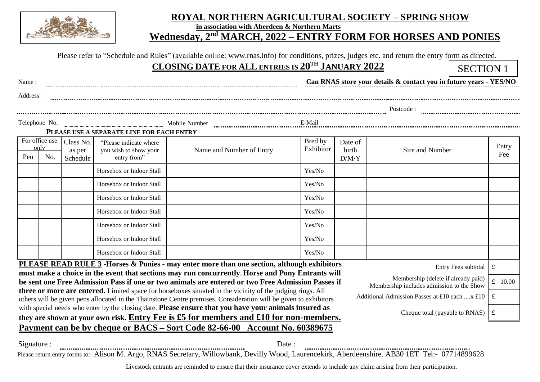

## **ROYAL NORTHERN AGRICULTURAL SOCIETY – SPRING SHOW**

**in association with Aberdeen & Northern Marts**

## **MEDIA ARCH,** 2022 – **ENTRY FORM FOR HORSES AND PONIES**

|  |  |  |  | Please refer to "Schedule and Rules" (available online: www.rnas.info) for conditions, prizes, judges etc. and return the entry form as directed. |
|--|--|--|--|---------------------------------------------------------------------------------------------------------------------------------------------------|
|--|--|--|--|---------------------------------------------------------------------------------------------------------------------------------------------------|

 **CLOSING DATE FOR ALL ENTRIES IS 20 TH JANUARY 2022**

SECTION 1

| Name:                                                                                                                                                                                                                                                                            |                                        |                                                                 |                                                                                                   |                      |                           | Can RNAS store your details & contact you in future years - YES/NO |              |  |
|----------------------------------------------------------------------------------------------------------------------------------------------------------------------------------------------------------------------------------------------------------------------------------|----------------------------------------|-----------------------------------------------------------------|---------------------------------------------------------------------------------------------------|----------------------|---------------------------|--------------------------------------------------------------------|--------------|--|
| Address:                                                                                                                                                                                                                                                                         |                                        |                                                                 |                                                                                                   |                      |                           |                                                                    |              |  |
|                                                                                                                                                                                                                                                                                  |                                        |                                                                 |                                                                                                   |                      |                           |                                                                    |              |  |
| Telephone No.                                                                                                                                                                                                                                                                    |                                        |                                                                 |                                                                                                   |                      |                           |                                                                    |              |  |
|                                                                                                                                                                                                                                                                                  |                                        | PLEASE USE A SEPARATE LINE FOR EACH ENTRY                       |                                                                                                   |                      |                           |                                                                    |              |  |
| For office use<br>only<br>Pen                                                                                                                                                                                                                                                    | Class No.<br>as per<br>No.<br>Schedule | "Please indicate where"<br>you wish to show your<br>entry from" | Name and Number of Entry                                                                          | Bred by<br>Exhibitor | Date of<br>birth<br>D/M/Y | Sire and Number                                                    | Entry<br>Fee |  |
|                                                                                                                                                                                                                                                                                  |                                        | Horsebox or Indoor Stall                                        |                                                                                                   | Yes/No               |                           |                                                                    |              |  |
|                                                                                                                                                                                                                                                                                  |                                        | Horsebox or Indoor Stall                                        |                                                                                                   | Yes/No               |                           |                                                                    |              |  |
|                                                                                                                                                                                                                                                                                  |                                        | Horsebox or Indoor Stall                                        |                                                                                                   | Yes/No               |                           |                                                                    |              |  |
|                                                                                                                                                                                                                                                                                  |                                        | Horsebox or Indoor Stall                                        |                                                                                                   | Yes/No               |                           |                                                                    |              |  |
|                                                                                                                                                                                                                                                                                  |                                        | Horsebox or Indoor Stall                                        |                                                                                                   | Yes/No               |                           |                                                                    |              |  |
|                                                                                                                                                                                                                                                                                  |                                        | Horsebox or Indoor Stall                                        |                                                                                                   | Yes/No               |                           |                                                                    |              |  |
|                                                                                                                                                                                                                                                                                  |                                        | Horsebox or Indoor Stall                                        |                                                                                                   | Yes/No               |                           |                                                                    |              |  |
|                                                                                                                                                                                                                                                                                  |                                        |                                                                 | <b>PLEASE READ RULE 3</b> -Horses & Ponies - may enter more than one section, although exhibitors |                      |                           | Entry Fees subtotal                                                | $\mathbf f$  |  |
|                                                                                                                                                                                                                                                                                  |                                        |                                                                 | must make a choice in the event that sections may run concurrently. Horse and Pony Entrants will  |                      |                           | Membership (delete if already paid)                                | £ $10.00$    |  |
| be sent one Free Admission Pass if one or two animals are entered or two Free Admission Passes if<br>Membership includes admission to the Show                                                                                                                                   |                                        |                                                                 |                                                                                                   |                      |                           |                                                                    |              |  |
| three or more are entered. Limited space for horseboxes situated in the vicinity of the judging rings. All<br>Additional Admission Passes at £10 each  x £10<br>others will be given pens allocated in the Thainstone Centre premises. Consideration will be given to exhibitors |                                        |                                                                 |                                                                                                   |                      |                           |                                                                    | £            |  |
| with special needs who enter by the closing date. Please ensure that you have your animals insured as<br>Cheque total (payable to RNAS)                                                                                                                                          |                                        |                                                                 |                                                                                                   |                      |                           |                                                                    |              |  |
| £<br>they are shown at your own risk. Entry Fee is £5 for members and £10 for non-members.                                                                                                                                                                                       |                                        |                                                                 |                                                                                                   |                      |                           |                                                                    |              |  |
|                                                                                                                                                                                                                                                                                  |                                        |                                                                 | Payment can be by cheque or BACS - Sort Code 82-66-00 Account No. 60389675                        |                      |                           |                                                                    |              |  |

Signature : Date : Please return entry forms to:- Alison M. Argo, RNAS Secretary, Willowbank, Devilly Wood, Laurencekirk, Aberdeenshire. AB30 1ET [Tel:-](tel:-) 07714899628

Livestock entrants are reminded to ensure that their insurance cover extends to include any claim arising from their participation.